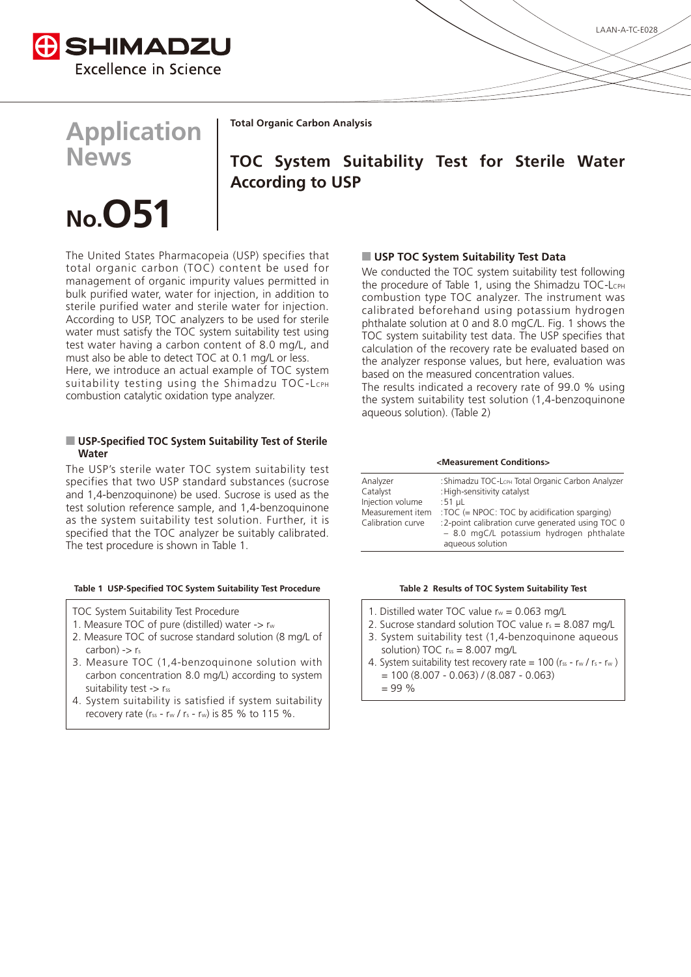

## **Application News**

**Total Organic Carbon Analysis** 

### **TOC System Suitability Test for Sterile Water According to USP**

# **51O.No**

The United States Pharmacopeia (USP) specifies that total organic carbon (TOC) content be used for management of organic impurity values permitted in bulk purified water, water for injection, in addition to sterile purified water and sterile water for injection. According to USP, TOC analyzers to be used for sterile water must satisfy the TOC system suitability test using test water having a carbon content of 8.0 mg/L, and must also be able to detect TOC at 0.1 mg/L or less. Here, we introduce an actual example of TOC system Suitability testing using the Shimadzu TOC-LCPH combustion catalytic oxidation type analyzer.

#### **I** USP-Specified TOC System Suitability Test of Sterile **Water**

The USP's sterile water TOC system suitability test specifies that two USP standard substances (sucrose and 1,4-benzoquinone) be used. Sucrose is used as the test solution reference sample, and 1,4-benzoquinone as the system suitability test solution. Further, it is specified that the TOC analyzer be suitably calibrated. The test procedure is shown in Table 1.

#### Table 1 USP-Specified TOC System Suitability Test Procedure

- TOC System Suitability Test Procedure
- 1. Measure TOC of pure (distilled) water  $\rightarrow$  rw
- 2. Measure TOC of sucrose standard solution (8 mg/L of  $carbon) \rightarrow r_s$
- 3. Measure TOC (1,4-benzoquinone solution with carbon concentration 8.0 mg/L) according to system suitability test -> rss
- 4. System suitability is satisfied if system suitability recovery rate ( $r_{ss}$  -  $r_w$  /  $r_s$  -  $r_w$ ) is 85 % to 115 %.

#### **D** USP TOC System Suitability Test Data

We conducted the TOC system suitability test following the procedure of Table 1, using the Shimadzu TOC-LCPH combustion type TOC analyzer. The instrument was calibrated beforehand using potassium hydrogen phthalate solution at 0 and 8.0 mgC/L. Fig. 1 shows the TOC system suitability test data. The USP specifies that calculation of the recovery rate be evaluated based on the analyzer response values, but here, evaluation was based on the measured concentration values.

The results indicated a recovery rate of 99.0  $%$  using the system suitability test solution  $(1, 4$ -benzoquinone aqueous solution). (Table 2)

**<Conditions Measurement<**

| Analyzer          | : Shimadzu TOC-LCPH Total Organic Carbon Analyzer                                                                |  |
|-------------------|------------------------------------------------------------------------------------------------------------------|--|
| Catalyst          | : High-sensitivity catalyst                                                                                      |  |
| Injection volume  | :51 $\mu$ L                                                                                                      |  |
| Measurement item  | : TOC (= NPOC: TOC by acidification sparging)                                                                    |  |
| Calibration curve | :2-point calibration curve generated using TOC 0<br>- 8.0 mgC/L potassium hydrogen phthalate<br>aqueous solution |  |

#### Table 2 Results of TOC System Suitability Test

- 1. Distilled water TOC value  $r_w = 0.063$  mg/L
- 2. Sucrose standard solution TOC value  $r_s = 8.087$  mg/L
- 3. System suitability test (1,4-benzoquinone aqueous solution) TOC  $r_{ss} = 8.007$  mg/L
- 4. System suitability test recovery rate =  $100$  (rss rw / rs rw)  $= 100 (8.007 - 0.063) / (8.087 - 0.063)$ 
	-
	- $= 99 \%$